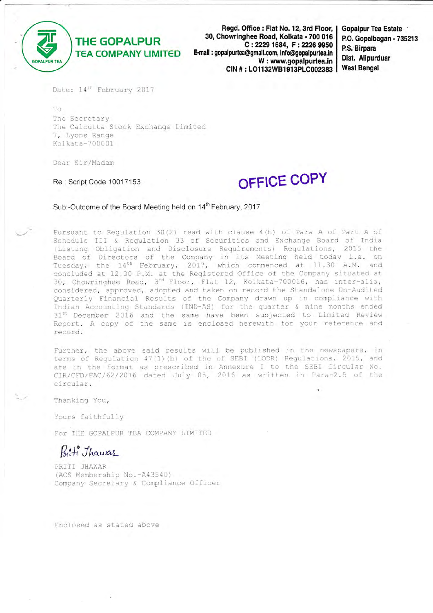

**THE GOPALPUR TEA COMPANY LIMITED** 

Regd. Office: Flat No. 12, 3rd Floor, 30, Chowringhee Road, Kolkata - 700 016 C: 2229 1684, F: 2226 9950 E-mail : gopalpurtea@gmail.com, info@gopalpurtea.in W: www.gopalpurtea.in CIN #: LO1132WB1913PLC002383

**Gopalpur Tea Estate** P.O. Gopalbagan - 735213 P.S. Birpara Dist. Alipurduar **West Bengal** 

Date: 14<sup>th</sup> February 2017

To The Secretary The Calcutta Stock Exchange Limited 7, Lyons Range Kolkata-700001

Dear Sir/Madam

Re.: Script Code 10017153

# OFFICE COPY

Sub:-Outcome of the Board Meeting held on 14<sup>th</sup> February, 2017

Pursuant to Regulation 30(2) read with clause 4(h) of Para A of Part A of Schedule III & Regulation 33 of Securities and Exchange Board of India (Listing Obligation and Disclosure Requirements) Regulations, 2015 the Board of Directors of the Company in its Meeting held today i.e. on<br>Tuesday, the 14<sup>th</sup> February, 2017, which commenced at 11.30 A.M. and concluded at 12.30 P.M. at the Registered Office of the Company situated at 30, Chowringhee Road, 3<sup>rd</sup> Floor, Flat 12, Kolkata-700016, has inter-alia, considered, approved, adopted and taken on record the Standalone Un-Audited Quarterly Financial Results of the Company drawn up in compliance with<br>Indian Accounting Standards (IND-AS) for the quarter & nine months ended 31<sup>st</sup> December 2016 and the same have been subjected to Limited Review Report. A copy of the same is enclosed herewith for your reference and record.

Further, the above said results will be published in the newspapers, in terms of Regulation 47(1)(b) of the of SEBI (LODR) Regulations, 2015, and are in the format as prescribed in Annexure I to the SEBI Circular No. CIR/CFD/FAC/62/2016 dated July 05, 2016 as written in Para-2.5 of the circular.

Thanking You,

Yours faithfully

For THE GOPALPUR TEA COMPANY LIMITED

Biti Thawas

PRITI JHAWAR (ACS Membership No.-A43540) Company Secretary & Compliance Officer

Enclosed as stated above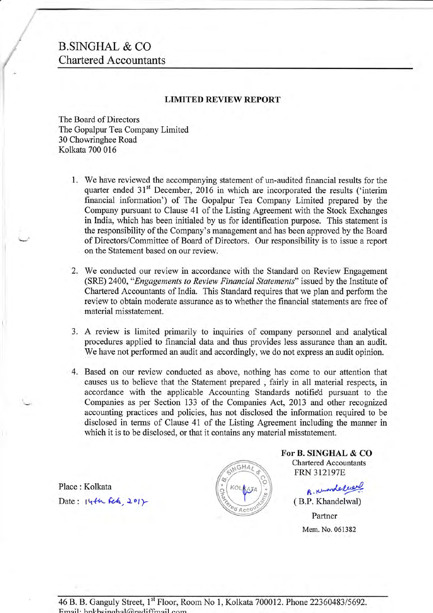## B.SINGHAL & CO Chartered Accountants

### LIMITED REVIEW REPORT

The Board of Directors The Gopalpur Tea Company Limited 30 Chowringhee Road Kolkata 700 016

- We have reviewed the accompanying statement of un-audited financial results for the 1. quarter ended  $31<sup>st</sup>$  December, 2016 in which are incorporated the results ('interim financial information') of The Gopalpur Tea Company Limited prepared by the Company pursuant to Clause 41 of the Listing Agreement with the Stock Exchanges in India, which has been initialed by us for identification purpose. This statement is the responsibility of the Company's management and has been approved by the Board of Directors/Committee of Board of Directors. Our responsibility is to issue a report on the Statement based on our review.
- 2. We conducted our review in accordance with the Standard on Review Engagement (SRE) 2400, "Engagements to Review Financial Statements" issued by the Institute of Chartered Accountants of India. This Standard requires that we plan and perform the review to obtain moderate assurance as to whether the financial statements are free of material misstatement.
- 3. A review is limited primarily to inquiries of company personnel and analytical procedures applied to financial data and thus provides less assurance than an audit. We have not performed an audit and accordingly, we do not express an audit opinion.
- 4. Based on our review conducted as above, nothing has come to our attention that causes us to believe that the Statement prepared , fairly in all material respects, in accordance with the applicable Accounting Standards notifie'd pursuant to the Companies as per Section 133 of the Companies Act, 2013 and other recognized accounting practices and policies, has not disclosed the information required to be disclosed in terms of Clause 41 of the Listing Agreement including the manner in which it is to be disclosed, or that it contains any material misstatement.

Place : Kolkata Date:  $14446.2017$ 



For B. SINGHAL & CO Chartered Accountants **FRN 312197E** 

> B. Knowledge ( B.P. Khandelwal) Partner

> > Mem. No. 061382